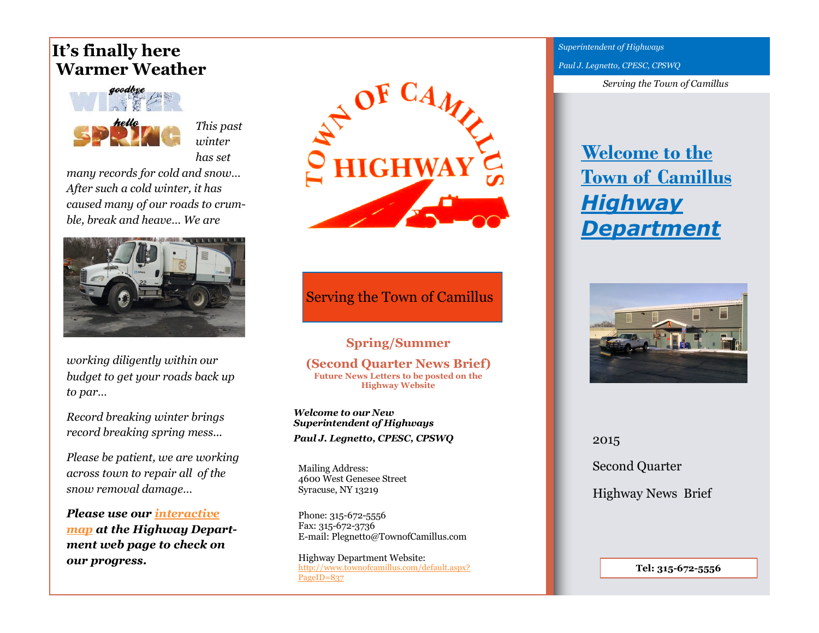# **It's finally here Warmer Weather**



*This past winter has set* 

*many records for cold and snow… After such a cold winter, it has caused many of our roads to crumble, break and heave… We are* 



*working diligently within our budget to get your roads back up to par…* 

*Record breaking winter brings record breaking spring mess...* 

*Please be patient, we are working across town to repair all of the snow removal damage…* 

*Please use our [interactive](https://www.google.com/maps/d/edit?mid=zM9kUE-0klDM.kQhsluRyONH4)  [map](https://www.google.com/maps/d/edit?mid=zM9kUE-0klDM.kQhsluRyONH4) at the Highway Department web page to check on our progress.* 



### Serving the Town of Camillus

**Spring/Summer (Second Quarter News Brief) Future News Letters to be posted on the Highway Website**

*Welcome to our New Superintendent of Highways Paul J. Legnetto, CPESC, CPSWQ* 

Mailing Address: 4600 West Genesee Street Syracuse, NY 13219

Phone: 315-672-5556 Fax: 315-672-3736 E-mail: Plegnetto@TownofCamillus.com

Highway Department Website: [http://www.townofcamillus.com/default.aspx?](http://www.townofcamillus.com/default.aspx?PageID=837) [PageID=837](http://www.townofcamillus.com/default.aspx?PageID=837)

*Superintendent of Highways Paul J. Legnetto, CPESC, CPSWQ* 

*Serving the Town of Camillus*

# **[Welcome to the](http://www.townofcamillus.com/default.aspx?PageID=837)  [Town of Camillus](http://www.townofcamillus.com/default.aspx?PageID=837)** *[Highway](http://www.townofcamillus.com/default.aspx?PageID=837)  [Department](http://www.townofcamillus.com/default.aspx?PageID=837)*



2015 Second Quarter Highway News Brief

**Tel: 315-672-5556**